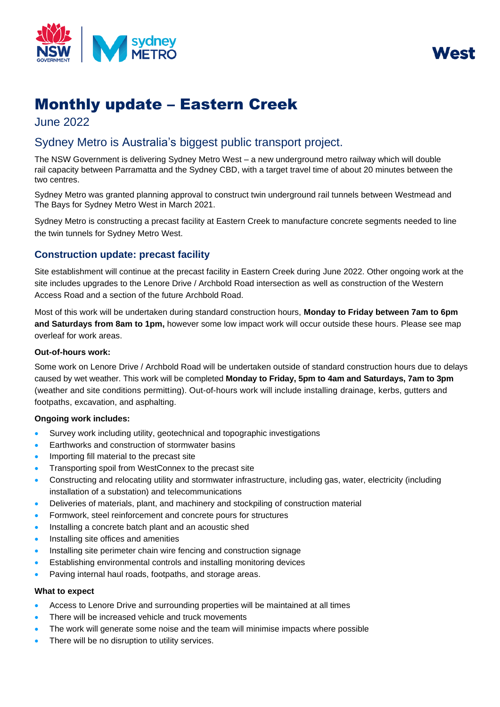

West

# Monthly update – Eastern Creek

June 2022

# Sydney Metro is Australia's biggest public transport project.

The NSW Government is delivering Sydney Metro West – a new underground metro railway which will double rail capacity between Parramatta and the Sydney CBD, with a target travel time of about 20 minutes between the two centres.

Sydney Metro was granted planning approval to construct twin underground rail tunnels between Westmead and The Bays for Sydney Metro West in March 2021.

Sydney Metro is constructing a precast facility at Eastern Creek to manufacture concrete segments needed to line the twin tunnels for Sydney Metro West.

# **Construction update: precast facility**

Site establishment will continue at the precast facility in Eastern Creek during June 2022. Other ongoing work at the site includes upgrades to the Lenore Drive / Archbold Road intersection as well as construction of the Western Access Road and a section of the future Archbold Road.

Most of this work will be undertaken during standard construction hours, **Monday to Friday between 7am to 6pm and Saturdays from 8am to 1pm,** however some low impact work will occur outside these hours. Please see map overleaf for work areas.

#### **Out-of-hours work:**

Some work on Lenore Drive / Archbold Road will be undertaken outside of standard construction hours due to delays caused by wet weather. This work will be completed **Monday to Friday, 5pm to 4am and Saturdays, 7am to 3pm** (weather and site conditions permitting). Out-of-hours work will include installing drainage, kerbs, gutters and footpaths, excavation, and asphalting.

## **Ongoing work includes:**

- Survey work including utility, geotechnical and topographic investigations
- Earthworks and construction of stormwater basins
- Importing fill material to the precast site
- Transporting spoil from WestConnex to the precast site
- Constructing and relocating utility and stormwater infrastructure, including gas, water, electricity (including installation of a substation) and telecommunications
- Deliveries of materials, plant, and machinery and stockpiling of construction material
- Formwork, steel reinforcement and concrete pours for structures
- Installing a concrete batch plant and an acoustic shed
- Installing site offices and amenities
- Installing site perimeter chain wire fencing and construction signage
- Establishing environmental controls and installing monitoring devices
- Paving internal haul roads, footpaths, and storage areas.

#### **What to expect**

- Access to Lenore Drive and surrounding properties will be maintained at all times
- There will be increased vehicle and truck movements
- The work will generate some noise and the team will minimise impacts where possible
- There will be no disruption to utility services.